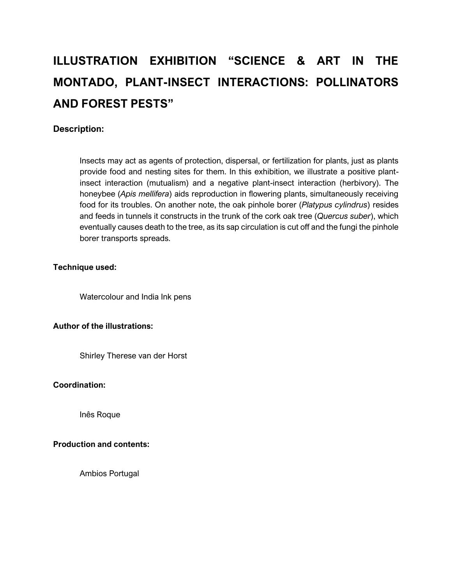# **ILLUSTRATION EXHIBITION "SCIENCE & ART IN THE MONTADO, PLANT-INSECT INTERACTIONS: POLLINATORS AND FOREST PESTS"**

# **Description:**

Insects may act as agents of protection, dispersal, or fertilization for plants, just as plants provide food and nesting sites for them. In this exhibition, we illustrate a positive plantinsect interaction (mutualism) and a negative plant-insect interaction (herbivory). The honeybee (*Apis mellifera*) aids reproduction in flowering plants, simultaneously receiving food for its troubles. On another note, the oak pinhole borer (*Platypus cylindrus*) resides and feeds in tunnels it constructs in the trunk of the cork oak tree (*Quercus suber*), which eventually causes death to the tree, as its sap circulation is cut off and the fungi the pinhole borer transports spreads.

## **Technique used:**

Watercolour and India Ink pens

## **Author of the illustrations:**

Shirley Therese van der Horst

#### **Coordination:**

Inês Roque

## **Production and contents:**

Ambios Portugal